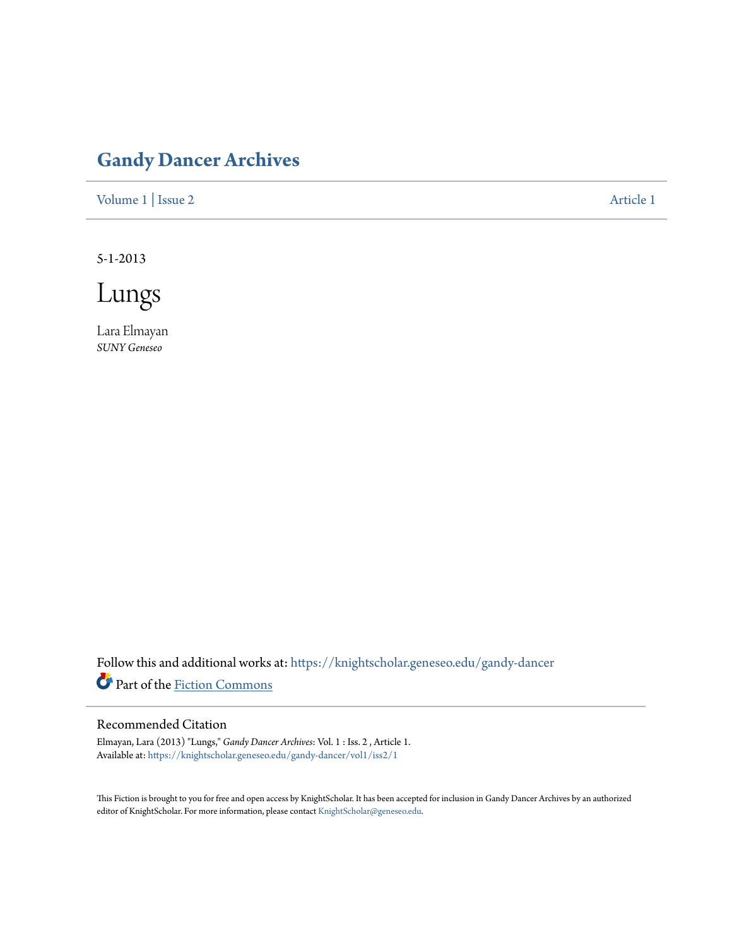## **[Gandy Dancer Archives](https://knightscholar.geneseo.edu/gandy-dancer?utm_source=knightscholar.geneseo.edu%2Fgandy-dancer%2Fvol1%2Fiss2%2F1&utm_medium=PDF&utm_campaign=PDFCoverPages)**

[Volume 1](https://knightscholar.geneseo.edu/gandy-dancer/vol1?utm_source=knightscholar.geneseo.edu%2Fgandy-dancer%2Fvol1%2Fiss2%2F1&utm_medium=PDF&utm_campaign=PDFCoverPages) | [Issue 2](https://knightscholar.geneseo.edu/gandy-dancer/vol1/iss2?utm_source=knightscholar.geneseo.edu%2Fgandy-dancer%2Fvol1%2Fiss2%2F1&utm_medium=PDF&utm_campaign=PDFCoverPages) [Article 1](https://knightscholar.geneseo.edu/gandy-dancer/vol1/iss2/1?utm_source=knightscholar.geneseo.edu%2Fgandy-dancer%2Fvol1%2Fiss2%2F1&utm_medium=PDF&utm_campaign=PDFCoverPages)

5-1-2013

Lungs

Lara Elmayan *SUNY Geneseo*

Follow this and additional works at: [https://knightscholar.geneseo.edu/gandy-dancer](https://knightscholar.geneseo.edu/gandy-dancer?utm_source=knightscholar.geneseo.edu%2Fgandy-dancer%2Fvol1%2Fiss2%2F1&utm_medium=PDF&utm_campaign=PDFCoverPages) Part of the [Fiction Commons](http://network.bepress.com/hgg/discipline/1151?utm_source=knightscholar.geneseo.edu%2Fgandy-dancer%2Fvol1%2Fiss2%2F1&utm_medium=PDF&utm_campaign=PDFCoverPages)

## Recommended Citation

Elmayan, Lara (2013) "Lungs," *Gandy Dancer Archives*: Vol. 1 : Iss. 2 , Article 1. Available at: [https://knightscholar.geneseo.edu/gandy-dancer/vol1/iss2/1](https://knightscholar.geneseo.edu/gandy-dancer/vol1/iss2/1?utm_source=knightscholar.geneseo.edu%2Fgandy-dancer%2Fvol1%2Fiss2%2F1&utm_medium=PDF&utm_campaign=PDFCoverPages)

This Fiction is brought to you for free and open access by KnightScholar. It has been accepted for inclusion in Gandy Dancer Archives by an authorized editor of KnightScholar. For more information, please contact [KnightScholar@geneseo.edu.](mailto:KnightScholar@geneseo.edu)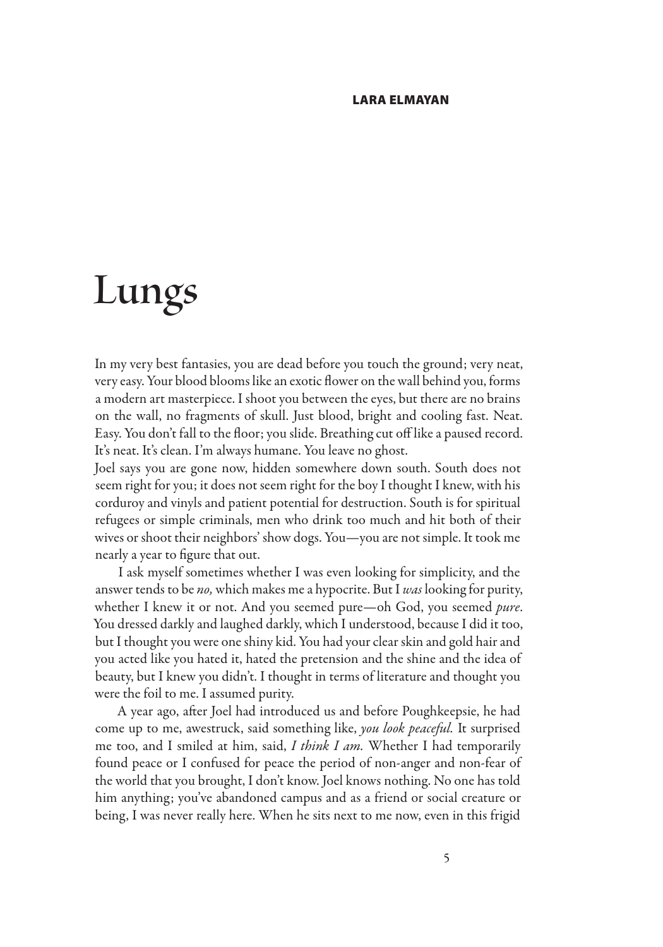## LARA ELMAYAN

## **Lungs**

In my very best fantasies, you are dead before you touch the ground; very neat, very easy. Your blood blooms like an exotic flower on the wall behind you, forms a modern art masterpiece. I shoot you between the eyes, but there are no brains on the wall, no fragments of skull. Just blood, bright and cooling fast. Neat. Easy. You don't fall to the floor; you slide. Breathing cut off like a paused record. It's neat. It's clean. I'm always humane. You leave no ghost.

Joel says you are gone now, hidden somewhere down south. South does not seem right for you; it does not seem right for the boy I thought I knew, with his corduroy and vinyls and patient potential for destruction. South is for spiritual refugees or simple criminals, men who drink too much and hit both of their wives or shoot their neighbors' show dogs. You—you are not simple. It took me nearly a year to figure that out.

I ask myself sometimes whether I was even looking for simplicity, and the answer tends to be no, which makes me a hypocrite. But I was looking for purity, whether I knew it or not. And you seemed pure—oh God, you seemed *pure*. You dressed darkly and laughed darkly, which I understood, because I did it too, but I thought you were one shiny kid. You had your clear skin and gold hair and you acted like you hated it, hated the pretension and the shine and the idea of beauty, but I knew you didn't. I thought in terms of literature and thought you were the foil to me. I assumed purity.

A year ago, after Joel had introduced us and before Poughkeepsie, he had come up to me, awestruck, said something like, you look peaceful. It surprised me too, and I smiled at him, said, I think I am. Whether I had temporarily found peace or I confused for peace the period of non-anger and non-fear of the world that you brought, I don't know. Joel knows nothing. No one has told him anything; you've abandoned campus and as a friend or social creature or being, I was never really here. When he sits next to me now, even in this frigid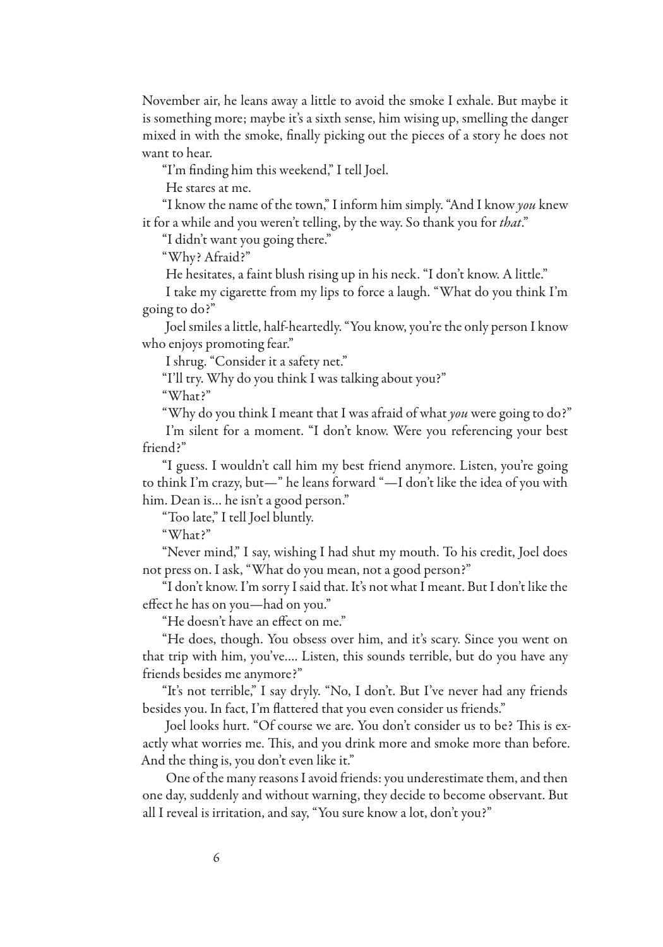November air, he leans away a little to avoid the smoke I exhale. But maybe it is something more; maybe it's a sixth sense, him wising up, smelling the danger mixed in with the smoke, finally picking out the pieces of a story he does not want to hear.

"I'm finding him this weekend," I tell Joel.

He stares at me.

"I know the name of the town," I inform him simply. "And I know you knew it for a while and you weren't telling, by the way. So thank you for *that*."

"I didn't want you going there."

"Why? Afraid?"

He hesitates, a faint blush rising up in his neck. "I don't know. A little."

I take my cigarette from my lips to force a laugh. "What do you think I'm going to do?"

Joel smiles a little, half-heartedly. "You know, you're the only person I know who enjoys promoting fear."

I shrug. "Consider it a safety net."

"I'll try. Why do you think I was talking about you?"

"What?"

"Why do you think I meant that I was afraid of what you were going to do?" I'm silent for a moment. "I don't know. Were you referencing your best

friend?"

"I guess. I wouldn't call him my best friend anymore. Listen, you're going to think I'm crazy, but—" he leans forward "—I don't like the idea of you with him. Dean is… he isn't a good person."

"Too late," I tell Joel bluntly.

"What?"

"Never mind," I say, wishing I had shut my mouth. To his credit, Joel does not press on. I ask, "What do you mean, not a good person?"

"I don't know. I'm sorry I said that. It's not what I meant. But I don't like the effect he has on you—had on you."

"He doesn't have an effect on me."

"He does, though. You obsess over him, and it's scary. Since you went on that trip with him, you've…. Listen, this sounds terrible, but do you have any friends besides me anymore?"

"It's not terrible," I say dryly. "No, I don't. But I've never had any friends besides you. In fact, I'm flattered that you even consider us friends."

Joel looks hurt. "Of course we are. You don't consider us to be? This is exactly what worries me. This, and you drink more and smoke more than before. And the thing is, you don't even like it."

One of the many reasons I avoid friends: you underestimate them, and then one day, suddenly and without warning, they decide to become observant. But all I reveal is irritation, and say, "You sure know a lot, don't you?"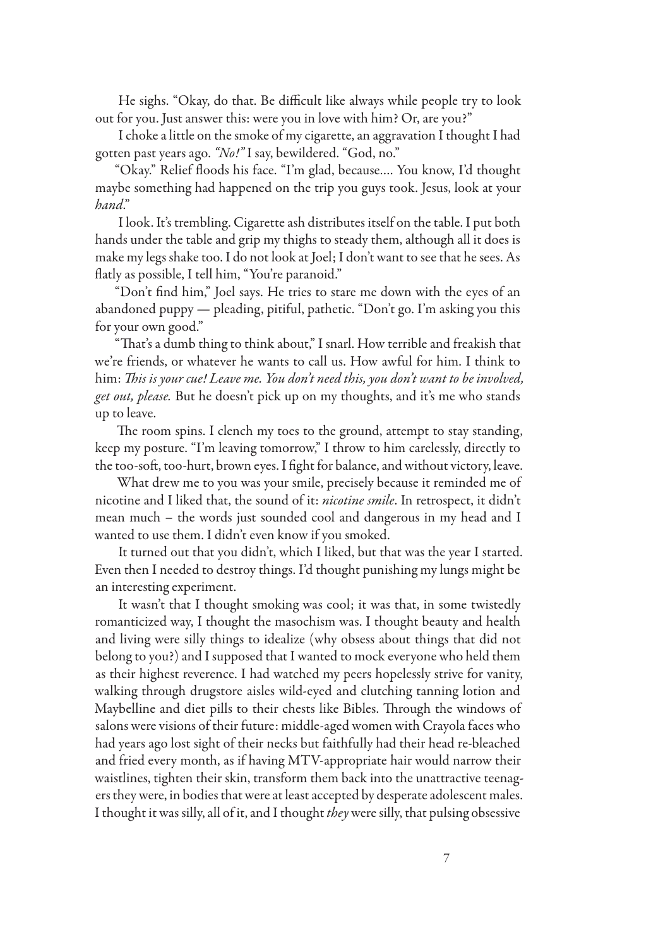He sighs. "Okay, do that. Be difficult like always while people try to look out for you. Just answer this: were you in love with him? Or, are you?"

I choke a little on the smoke of my cigarette, an aggravation I thought I had gotten past years ago. "No!" I say, bewildered. "God, no."

"Okay." Relief !oods his face. "I'm glad, because…. You know, I'd thought maybe something had happened on the trip you guys took. Jesus, look at your hand."

I look. It's trembling. Cigarette ash distributes itself on the table. I put both hands under the table and grip my thighs to steady them, although all it does is make my legs shake too. I do not look at Joel; I don't want to see that he sees. As flatly as possible, I tell him, "You're paranoid."

"Don't find him," Joel says. He tries to stare me down with the eyes of an abandoned puppy — pleading, pitiful, pathetic. "Don't go. I'm asking you this for your own good."

"That's a dumb thing to think about," I snarl. How terrible and freakish that we're friends, or whatever he wants to call us. How awful for him. I think to him: This is your cue! Leave me. You don't need this, you don't want to be involved, get out, please. But he doesn't pick up on my thoughts, and it's me who stands up to leave.

The room spins. I clench my toes to the ground, attempt to stay standing, keep my posture. "I'm leaving tomorrow," I throw to him carelessly, directly to the too-soft, too-hurt, brown eyes. I fight for balance, and without victory, leave.

What drew me to you was your smile, precisely because it reminded me of nicotine and I liked that, the sound of it: nicotine smile. In retrospect, it didn't mean much – the words just sounded cool and dangerous in my head and I wanted to use them. I didn't even know if you smoked.

It turned out that you didn't, which I liked, but that was the year I started. Even then I needed to destroy things. I'd thought punishing my lungs might be an interesting experiment.

It wasn't that I thought smoking was cool; it was that, in some twistedly romanticized way, I thought the masochism was. I thought beauty and health and living were silly things to idealize (why obsess about things that did not belong to you?) and I supposed that I wanted to mock everyone who held them as their highest reverence. I had watched my peers hopelessly strive for vanity, walking through drugstore aisles wild-eyed and clutching tanning lotion and Maybelline and diet pills to their chests like Bibles. Through the windows of salons were visions of their future: middle-aged women with Crayola faces who had years ago lost sight of their necks but faithfully had their head re-bleached and fried every month, as if having MTV-appropriate hair would narrow their waistlines, tighten their skin, transform them back into the unattractive teenagers they were, in bodies that were at least accepted by desperate adolescent males. I thought it was silly, all of it, and I thought they were silly, that pulsing obsessive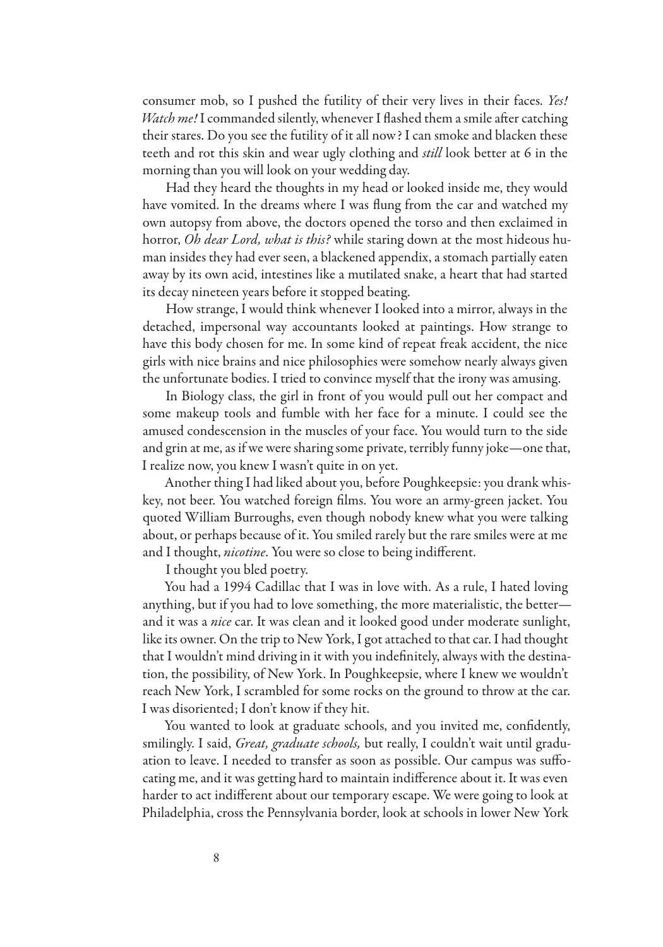consumer mob, so I pushed the futility of their very lives in their faces. Yes! Watch me! I commanded silently, whenever I flashed them a smile after catching their stares. Do you see the futility of it all now? I can smoke and blacken these teeth and rot this skin and wear ugly clothing and still look better at 6 in the morning than you will look on your wedding day.

Had they heard the thoughts in my head or looked inside me, they would have vomited. In the dreams where I was flung from the car and watched my own autopsy from above, the doctors opened the torso and then exclaimed in horror, *Oh dear Lord, what is this?* while staring down at the most hideous human insides they had ever seen, a blackened appendix, a stomach partially eaten away by its own acid, intestines like a mutilated snake, a heart that had started its decay nineteen years before it stopped beating.

How strange, I would think whenever I looked into a mirror, always in the detached, impersonal way accountants looked at paintings. How strange to have this body chosen for me. In some kind of repeat freak accident, the nice girls with nice brains and nice philosophies were somehow nearly always given the unfortunate bodies. I tried to convince myself that the irony was amusing.

In Biology class, the girl in front of you would pull out her compact and some makeup tools and fumble with her face for a minute. I could see the amused condescension in the muscles of your face. You would turn to the side and grin at me, as if we were sharing some private, terribly funny joke—one that, I realize now, you knew I wasn't quite in on yet.

Another thing I had liked about you, before Poughkeepsie: you drank whiskey, not beer. You watched foreign #lms. You wore an army-green jacket. You quoted William Burroughs, even though nobody knew what you were talking about, or perhaps because of it. You smiled rarely but the rare smiles were at me and I thought, nicotine. You were so close to being indifferent.

I thought you bled poetry.

You had a 1994 Cadillac that I was in love with. As a rule, I hated loving anything, but if you had to love something, the more materialistic, the better and it was a nice car. It was clean and it looked good under moderate sunlight, like its owner. On the trip to New York, I got attached to that car. I had thought that I wouldn't mind driving in it with you indefinitely, always with the destination, the possibility, of New York. In Poughkeepsie, where I knew we wouldn't reach New York, I scrambled for some rocks on the ground to throw at the car. I was disoriented; I don't know if they hit.

You wanted to look at graduate schools, and you invited me, confidently, smilingly. I said, Great, graduate schools, but really, I couldn't wait until graduation to leave. I needed to transfer as soon as possible. Our campus was suffocating me, and it was getting hard to maintain indifference about it. It was even harder to act indifferent about our temporary escape. We were going to look at Philadelphia, cross the Pennsylvania border, look at schools in lower New York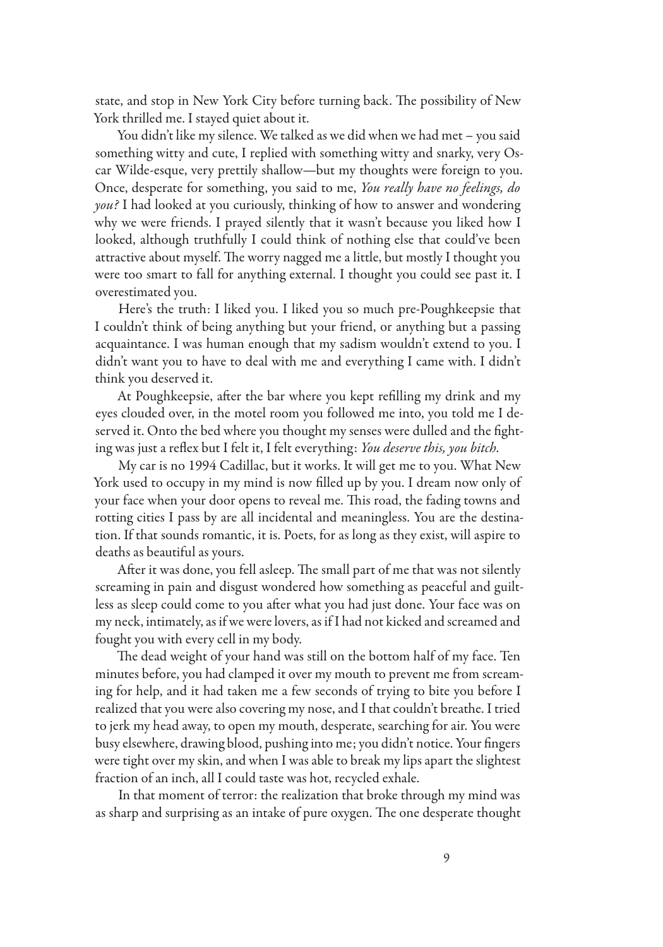state, and stop in New York City before turning back. The possibility of New York thrilled me. I stayed quiet about it.

You didn't like my silence. We talked as we did when we had met – you said something witty and cute, I replied with something witty and snarky, very Oscar Wilde-esque, very prettily shallow—but my thoughts were foreign to you. Once, desperate for something, you said to me, You really have no feelings, do you? I had looked at you curiously, thinking of how to answer and wondering why we were friends. I prayed silently that it wasn't because you liked how I looked, although truthfully I could think of nothing else that could've been attractive about myself. The worry nagged me a little, but mostly I thought you were too smart to fall for anything external. I thought you could see past it. I overestimated you.

Here's the truth: I liked you. I liked you so much pre-Poughkeepsie that I couldn't think of being anything but your friend, or anything but a passing acquaintance. I was human enough that my sadism wouldn't extend to you. I didn't want you to have to deal with me and everything I came with. I didn't think you deserved it.

At Poughkeepsie, after the bar where you kept refilling my drink and my eyes clouded over, in the motel room you followed me into, you told me I deserved it. Onto the bed where you thought my senses were dulled and the fighting was just a reflex but I felt it, I felt everything: You deserve this, you bitch.

My car is no 1994 Cadillac, but it works. It will get me to you. What New York used to occupy in my mind is now filled up by you. I dream now only of your face when your door opens to reveal me. This road, the fading towns and rotting cities I pass by are all incidental and meaningless. You are the destination. If that sounds romantic, it is. Poets, for as long as they exist, will aspire to deaths as beautiful as yours.

After it was done, you fell asleep. The small part of me that was not silently screaming in pain and disgust wondered how something as peaceful and guiltless as sleep could come to you after what you had just done. Your face was on my neck, intimately, as if we were lovers, as if I had not kicked and screamed and fought you with every cell in my body.

The dead weight of your hand was still on the bottom half of my face. Ten minutes before, you had clamped it over my mouth to prevent me from screaming for help, and it had taken me a few seconds of trying to bite you before I realized that you were also covering my nose, and I that couldn't breathe. I tried to jerk my head away, to open my mouth, desperate, searching for air. You were busy elsewhere, drawing blood, pushing into me; you didn't notice. Your fingers were tight over my skin, and when I was able to break my lips apart the slightest fraction of an inch, all I could taste was hot, recycled exhale.

In that moment of terror: the realization that broke through my mind was as sharp and surprising as an intake of pure oxygen. The one desperate thought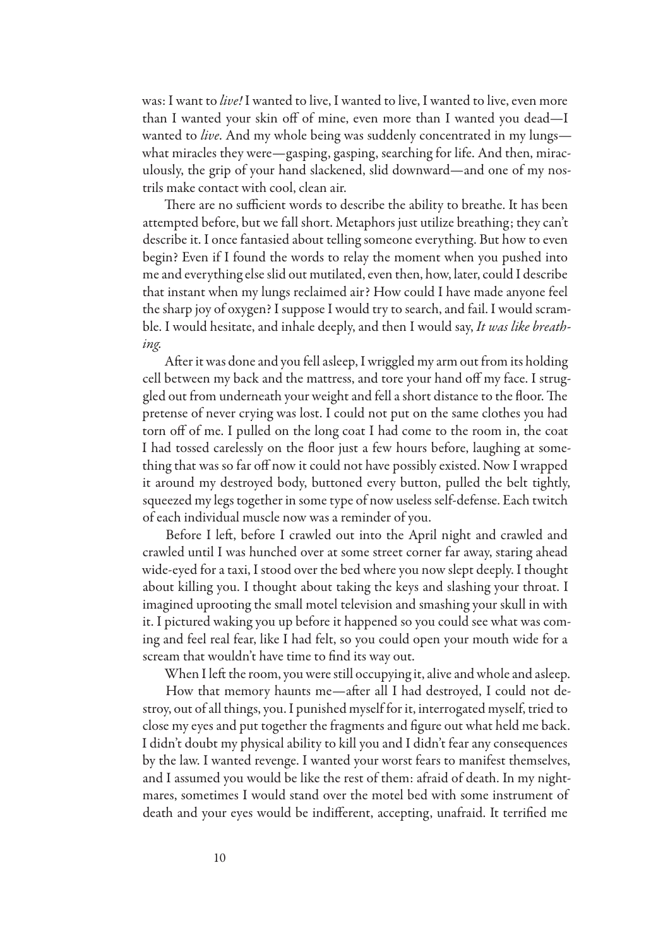was: I want to *live!* I wanted to live, I wanted to live, I wanted to live, even more than I wanted your skin off of mine, even more than I wanted you dead-I wanted to *live*. And my whole being was suddenly concentrated in my lungs what miracles they were—gasping, gasping, searching for life. And then, miraculously, the grip of your hand slackened, slid downward—and one of my nostrils make contact with cool, clean air.

There are no sufficient words to describe the ability to breathe. It has been attempted before, but we fall short. Metaphors just utilize breathing; they can't describe it. I once fantasied about telling someone everything. But how to even begin? Even if I found the words to relay the moment when you pushed into me and everything else slid out mutilated, even then, how, later, could I describe that instant when my lungs reclaimed air? How could I have made anyone feel the sharp joy of oxygen? I suppose I would try to search, and fail. I would scramble. I would hesitate, and inhale deeply, and then I would say, It was like breathing.

After it was done and you fell asleep, I wriggled my arm out from its holding cell between my back and the mattress, and tore your hand off my face. I struggled out from underneath your weight and fell a short distance to the floor. The pretense of never crying was lost. I could not put on the same clothes you had torn off of me. I pulled on the long coat I had come to the room in, the coat I had tossed carelessly on the floor just a few hours before, laughing at something that was so far off now it could not have possibly existed. Now I wrapped it around my destroyed body, buttoned every button, pulled the belt tightly, squeezed my legs together in some type of now useless self-defense. Each twitch of each individual muscle now was a reminder of you.

Before I left, before I crawled out into the April night and crawled and crawled until I was hunched over at some street corner far away, staring ahead wide-eyed for a taxi, I stood over the bed where you now slept deeply. I thought about killing you. I thought about taking the keys and slashing your throat. I imagined uprooting the small motel television and smashing your skull in with it. I pictured waking you up before it happened so you could see what was coming and feel real fear, like I had felt, so you could open your mouth wide for a scream that wouldn't have time to find its way out.

When I left the room, you were still occupying it, alive and whole and asleep.

How that memory haunts me—after all I had destroyed, I could not destroy, out of all things, you. I punished myself for it, interrogated myself, tried to close my eyes and put together the fragments and figure out what held me back. I didn't doubt my physical ability to kill you and I didn't fear any consequences by the law. I wanted revenge. I wanted your worst fears to manifest themselves, and I assumed you would be like the rest of them: afraid of death. In my nightmares, sometimes I would stand over the motel bed with some instrument of death and your eyes would be indifferent, accepting, unafraid. It terrified me